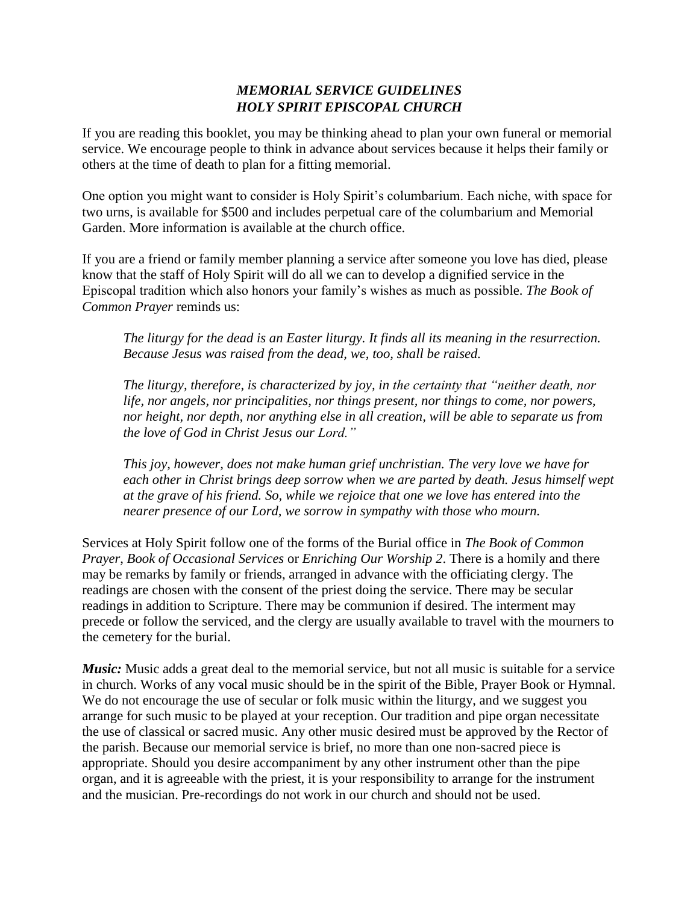## *MEMORIAL SERVICE GUIDELINES HOLY SPIRIT EPISCOPAL CHURCH*

If you are reading this booklet, you may be thinking ahead to plan your own funeral or memorial service. We encourage people to think in advance about services because it helps their family or others at the time of death to plan for a fitting memorial.

One option you might want to consider is Holy Spirit's columbarium. Each niche, with space for two urns, is available for \$500 and includes perpetual care of the columbarium and Memorial Garden. More information is available at the church office.

If you are a friend or family member planning a service after someone you love has died, please know that the staff of Holy Spirit will do all we can to develop a dignified service in the Episcopal tradition which also honors your family's wishes as much as possible. *The Book of Common Prayer* reminds us:

*The liturgy for the dead is an Easter liturgy. It finds all its meaning in the resurrection. Because Jesus was raised from the dead, we, too, shall be raised.* 

*The liturgy, therefore, is characterized by joy, in the certainty that "neither death, nor life, nor angels, nor principalities, nor things present, nor things to come, nor powers, nor height, nor depth, nor anything else in all creation, will be able to separate us from the love of God in Christ Jesus our Lord."* 

*This joy, however, does not make human grief unchristian. The very love we have for each other in Christ brings deep sorrow when we are parted by death. Jesus himself wept at the grave of his friend. So, while we rejoice that one we love has entered into the nearer presence of our Lord, we sorrow in sympathy with those who mourn.* 

Services at Holy Spirit follow one of the forms of the Burial office in *The Book of Common Prayer*, *Book of Occasional Services* or *Enriching Our Worship 2*. There is a homily and there may be remarks by family or friends, arranged in advance with the officiating clergy. The readings are chosen with the consent of the priest doing the service. There may be secular readings in addition to Scripture. There may be communion if desired. The interment may precede or follow the serviced, and the clergy are usually available to travel with the mourners to the cemetery for the burial.

*Music:* Music adds a great deal to the memorial service, but not all music is suitable for a service in church. Works of any vocal music should be in the spirit of the Bible, Prayer Book or Hymnal. We do not encourage the use of secular or folk music within the liturgy, and we suggest you arrange for such music to be played at your reception. Our tradition and pipe organ necessitate the use of classical or sacred music. Any other music desired must be approved by the Rector of the parish. Because our memorial service is brief, no more than one non-sacred piece is appropriate. Should you desire accompaniment by any other instrument other than the pipe organ, and it is agreeable with the priest, it is your responsibility to arrange for the instrument and the musician. Pre-recordings do not work in our church and should not be used.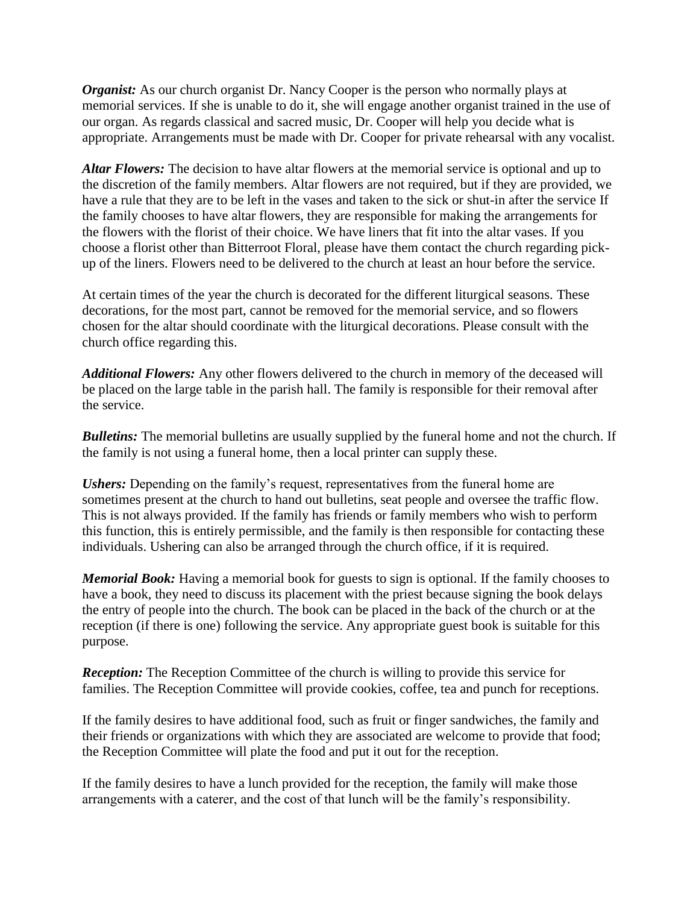*Organist:* As our church organist Dr. Nancy Cooper is the person who normally plays at memorial services. If she is unable to do it, she will engage another organist trained in the use of our organ. As regards classical and sacred music, Dr. Cooper will help you decide what is appropriate. Arrangements must be made with Dr. Cooper for private rehearsal with any vocalist.

*Altar Flowers:* The decision to have altar flowers at the memorial service is optional and up to the discretion of the family members. Altar flowers are not required, but if they are provided, we have a rule that they are to be left in the vases and taken to the sick or shut-in after the service If the family chooses to have altar flowers, they are responsible for making the arrangements for the flowers with the florist of their choice. We have liners that fit into the altar vases. If you choose a florist other than Bitterroot Floral, please have them contact the church regarding pickup of the liners. Flowers need to be delivered to the church at least an hour before the service.

At certain times of the year the church is decorated for the different liturgical seasons. These decorations, for the most part, cannot be removed for the memorial service, and so flowers chosen for the altar should coordinate with the liturgical decorations. Please consult with the church office regarding this.

*Additional Flowers:* Any other flowers delivered to the church in memory of the deceased will be placed on the large table in the parish hall. The family is responsible for their removal after the service.

*Bulletins:* The memorial bulletins are usually supplied by the funeral home and not the church. If the family is not using a funeral home, then a local printer can supply these.

*Ushers:* Depending on the family's request, representatives from the funeral home are sometimes present at the church to hand out bulletins, seat people and oversee the traffic flow. This is not always provided. If the family has friends or family members who wish to perform this function, this is entirely permissible, and the family is then responsible for contacting these individuals. Ushering can also be arranged through the church office, if it is required.

*Memorial Book:* Having a memorial book for guests to sign is optional. If the family chooses to have a book, they need to discuss its placement with the priest because signing the book delays the entry of people into the church. The book can be placed in the back of the church or at the reception (if there is one) following the service. Any appropriate guest book is suitable for this purpose.

*Reception:* The Reception Committee of the church is willing to provide this service for families. The Reception Committee will provide cookies, coffee, tea and punch for receptions.

If the family desires to have additional food, such as fruit or finger sandwiches, the family and their friends or organizations with which they are associated are welcome to provide that food; the Reception Committee will plate the food and put it out for the reception.

If the family desires to have a lunch provided for the reception, the family will make those arrangements with a caterer, and the cost of that lunch will be the family's responsibility.